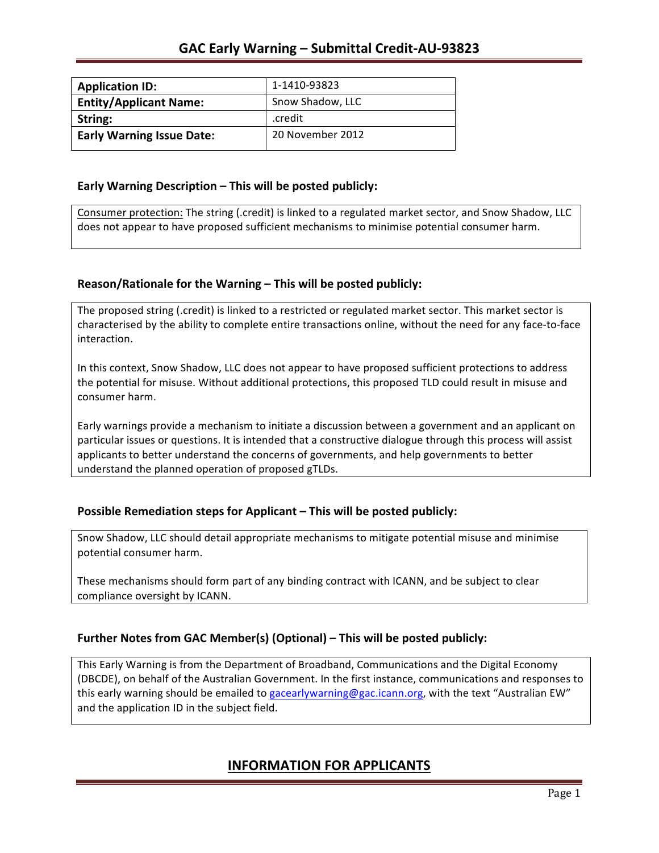| <b>Application ID:</b>           | 1-1410-93823     |
|----------------------------------|------------------|
| <b>Entity/Applicant Name:</b>    | Snow Shadow, LLC |
| String:                          | .credit          |
| <b>Early Warning Issue Date:</b> | 20 November 2012 |

### **Early Warning Description – This will be posted publicly:**

Consumer protection: The string (.credit) is linked to a regulated market sector, and Snow Shadow, LLC does not appear to have proposed sufficient mechanisms to minimise potential consumer harm.

### **Reason/Rationale for the Warning – This will be posted publicly:**

The proposed string (.credit) is linked to a restricted or regulated market sector. This market sector is characterised by the ability to complete entire transactions online, without the need for any face-to-face interaction.

In this context, Snow Shadow, LLC does not appear to have proposed sufficient protections to address the potential for misuse. Without additional protections, this proposed TLD could result in misuse and consumer harm.

Early warnings provide a mechanism to initiate a discussion between a government and an applicant on particular issues or questions. It is intended that a constructive dialogue through this process will assist applicants to better understand the concerns of governments, and help governments to better understand the planned operation of proposed gTLDs.

### **Possible Remediation steps for Applicant – This will be posted publicly:**

Snow Shadow, LLC should detail appropriate mechanisms to mitigate potential misuse and minimise potential consumer harm.

These mechanisms should form part of any binding contract with ICANN, and be subject to clear compliance oversight by ICANN.

### **Further Notes from GAC Member(s) (Optional)** – This will be posted publicly:

This Early Warning is from the Department of Broadband, Communications and the Digital Economy (DBCDE), on behalf of the Australian Government. In the first instance, communications and responses to this early warning should be emailed to gacearlywarning@gac.icann.org, with the text "Australian EW" and the application ID in the subject field.

# **INFORMATION FOR APPLICANTS**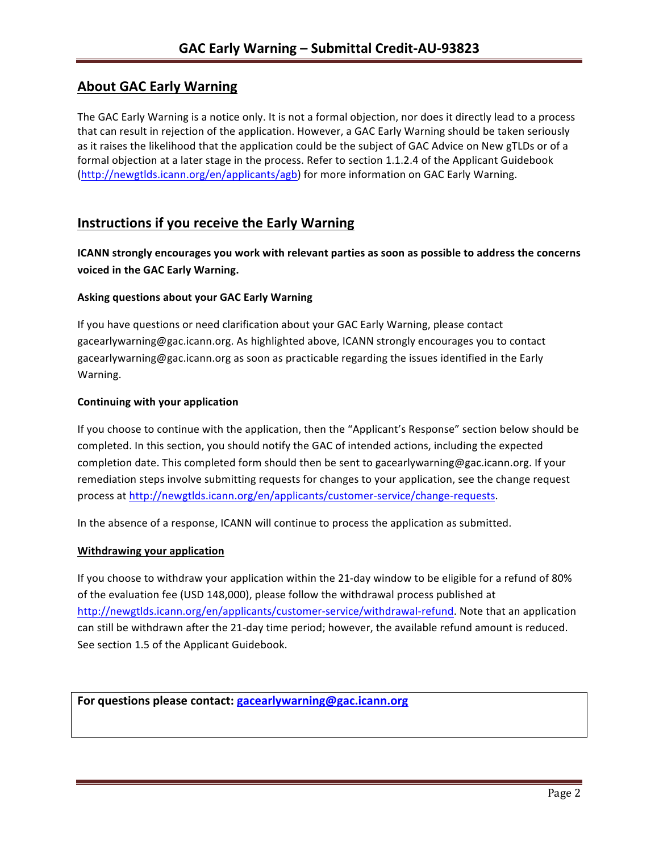# **About GAC Early Warning**

The GAC Early Warning is a notice only. It is not a formal objection, nor does it directly lead to a process that can result in rejection of the application. However, a GAC Early Warning should be taken seriously as it raises the likelihood that the application could be the subject of GAC Advice on New gTLDs or of a formal objection at a later stage in the process. Refer to section 1.1.2.4 of the Applicant Guidebook (http://newgtlds.icann.org/en/applicants/agb) for more information on GAC Early Warning.

## **Instructions if you receive the Early Warning**

**ICANN** strongly encourages you work with relevant parties as soon as possible to address the concerns **voiced in the GAC Early Warning.** 

### **Asking questions about your GAC Early Warning**

If you have questions or need clarification about your GAC Early Warning, please contact gacearlywarning@gac.icann.org. As highlighted above, ICANN strongly encourages you to contact gacearlywarning@gac.icann.org as soon as practicable regarding the issues identified in the Early Warning. 

#### **Continuing with your application**

If you choose to continue with the application, then the "Applicant's Response" section below should be completed. In this section, you should notify the GAC of intended actions, including the expected completion date. This completed form should then be sent to gacearlywarning@gac.icann.org. If your remediation steps involve submitting requests for changes to your application, see the change request process at http://newgtlds.icann.org/en/applicants/customer-service/change-requests.

In the absence of a response, ICANN will continue to process the application as submitted.

#### **Withdrawing your application**

If you choose to withdraw your application within the 21-day window to be eligible for a refund of 80% of the evaluation fee (USD 148,000), please follow the withdrawal process published at http://newgtlds.icann.org/en/applicants/customer-service/withdrawal-refund. Note that an application can still be withdrawn after the 21-day time period; however, the available refund amount is reduced. See section 1.5 of the Applicant Guidebook.

```
For questions please contact: gacearlywarning@gac.icann.org
```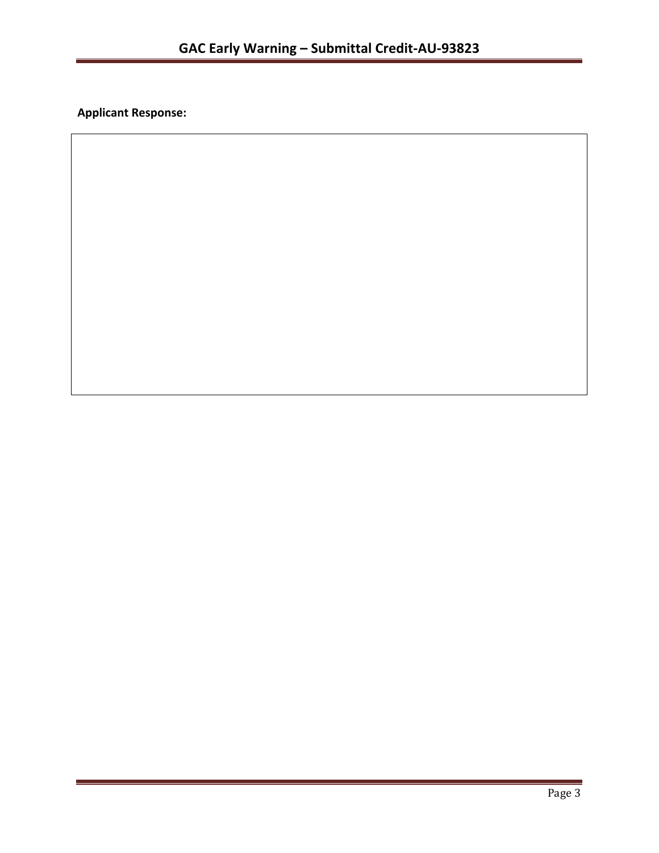**Applicant Response:**